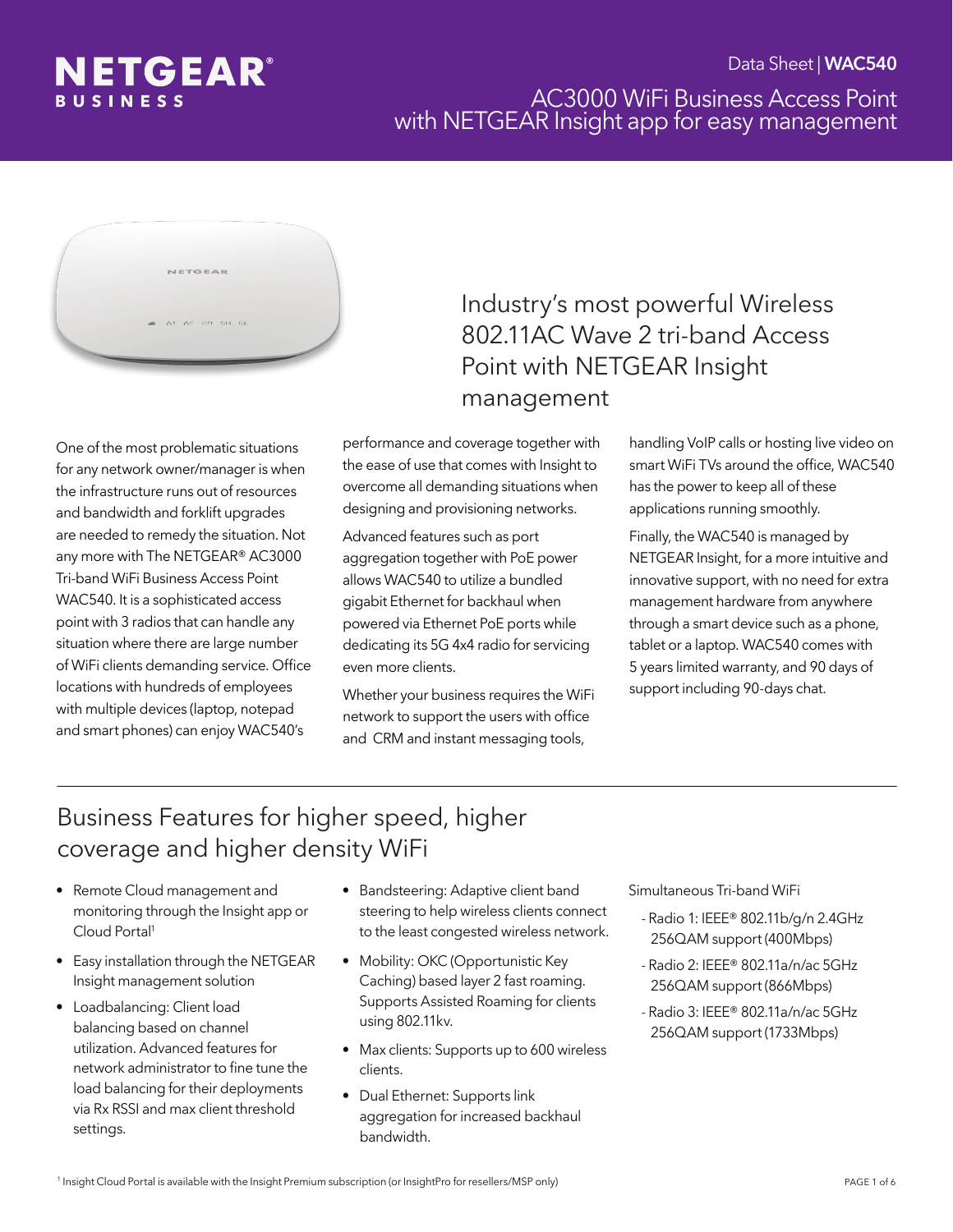



One of the most problematic situations for any network owner/manager is when the infrastructure runs out of resources and bandwidth and forklift upgrades are needed to remedy the situation. Not any more with The NETGEAR® AC3000 Tri-band WiFi Business Access Point WAC540. It is a sophisticated access point with 3 radios that can handle any situation where there are large number of WiFi clients demanding service. Office locations with hundreds of employees with multiple devices (laptop, notepad and smart phones) can enjoy WAC540's

# Industry's most powerful Wireless 802.11AC Wave 2 tri-band Access Point with NETGEAR Insight management

performance and coverage together with the ease of use that comes with Insight to overcome all demanding situations when designing and provisioning networks.

Advanced features such as port aggregation together with PoE power allows WAC540 to utilize a bundled gigabit Ethernet for backhaul when powered via Ethernet PoE ports while dedicating its 5G 4x4 radio for servicing even more clients.

Whether your business requires the WiFi network to support the users with office and CRM and instant messaging tools,

handling VoIP calls or hosting live video on smart WiFi TVs around the office, WAC540 has the power to keep all of these applications running smoothly.

Finally, the WAC540 is managed by NETGEAR Insight, for a more intuitive and innovative support, with no need for extra management hardware from anywhere through a smart device such as a phone, tablet or a laptop. WAC540 comes with 5 years limited warranty, and 90 days of support including 90-days chat.

# Business Features for higher speed, higher coverage and higher density WiFi

- Remote Cloud management and monitoring through the Insight app or Cloud Portal1
- Easy installation through the NETGEAR Insight management solution
- Loadbalancing: Client load balancing based on channel utilization. Advanced features for network administrator to fine tune the load balancing for their deployments via Rx RSSI and max client threshold settings.
- Bandsteering: Adaptive client band steering to help wireless clients connect to the least congested wireless network.
- Mobility: OKC (Opportunistic Key Caching) based layer 2 fast roaming. Supports Assisted Roaming for clients using 802.11kv.
- Max clients: Supports up to 600 wireless clients.
- Dual Ethernet: Supports link aggregation for increased backhaul bandwidth.

Simultaneous Tri-band WiFi

- Radio 1: IEEE® 802.11b/g/n 2.4GHz 256QAM support (400Mbps)
- Radio 2: IEEE® 802.11a/n/ac 5GHz 256QAM support (866Mbps)
- Radio 3: IEEE® 802.11a/n/ac 5GHz 256QAM support (1733Mbps)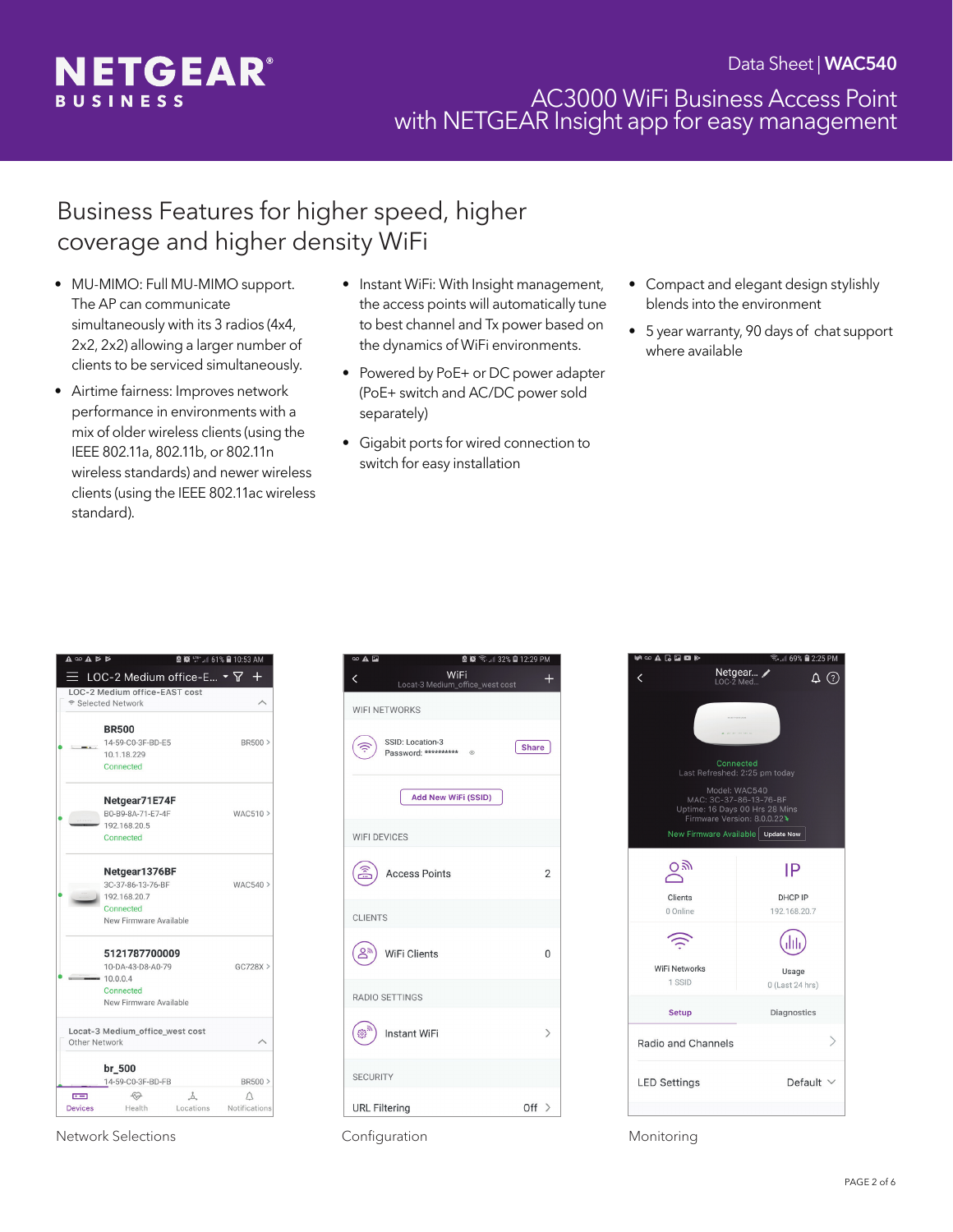

# Business Features for higher speed, higher coverage and higher density WiFi

- MU-MIMO: Full MU-MIMO support. The AP can communicate simultaneously with its 3 radios (4x4, 2x2, 2x2) allowing a larger number of clients to be serviced simultaneously.
- Airtime fairness: Improves network performance in environments with a mix of older wireless clients (using the IEEE 802.11a, 802.11b, or 802.11n wireless standards) and newer wireless clients (using the IEEE 802.11ac wireless standard).
- Instant WiFi: With Insight management, the access points will automatically tune to best channel and Tx power based on the dynamics of WiFi environments.
- Powered by PoE+ or DC power adapter (PoE+ switch and AC/DC power sold separately)
- Gigabit ports for wired connection to switch for easy installation
- Compact and elegant design stylishly blends into the environment
- 5 year warranty, 90 days of chat support where available

|                | <b>BR500</b>                    |    |            |
|----------------|---------------------------------|----|------------|
|                | 14-59-C0-3F-BD-E5               |    | BR500 >    |
|                | 10.1.18.229                     |    |            |
|                | Connected                       |    |            |
|                | Netgear71E74F                   |    |            |
|                | B0-B9-8A-71-F7-4F               |    | WAC510 >   |
|                | 192.168.20.5                    |    |            |
|                | Connected                       |    |            |
|                | Netgear1376BF                   |    |            |
|                | 3C-37-86-13-76-BF               |    | $WAC540$ > |
|                | 192.168.20.7                    |    |            |
|                | Connected                       |    |            |
|                | New Firmware Available          |    |            |
|                | 5121787700009                   |    |            |
|                | 10-DA-43-D8-A0-79               |    | $GC728X$ > |
|                | 10.0.0.4                        |    |            |
|                | Connected                       |    |            |
|                | New Firmware Available          |    |            |
| Other Network  | Locat-3 Medium office west cost |    |            |
|                |                                 |    |            |
|                |                                 |    |            |
|                | br 500                          |    |            |
| $\overline{1}$ | 14-59-C0-3F-BD-FB<br>↮          | Å. | BR500 >    |

Network Selections **Configuration** Configuration **Monitoring** Monitoring

| $\circledcirc$ $\mathbf{A}$ $\mathbf{E}$<br><b>图</b> (◎ 《 1 32% ■ 12:29 PM |                |  |
|----------------------------------------------------------------------------|----------------|--|
| WiFi<br>∢<br>Locat-3 Medium_office_west cost                               | ÷              |  |
| <b>WIFI NETWORKS</b>                                                       |                |  |
| SSID: Location-3<br><b>Share</b><br>Password: ********** ©                 |                |  |
| Add New WiFi (SSID)                                                        |                |  |
| <b>WIFI DEVICES</b>                                                        |                |  |
| <b>Access Points</b>                                                       | $\overline{2}$ |  |
| <b>CLIENTS</b>                                                             |                |  |
| $Q_{\overline{g}}$<br>WiFi Clients                                         | O              |  |
| <b>RADIO SETTINGS</b>                                                      |                |  |
| 503<br><b>Instant WiFi</b>                                                 | $\mathcal{P}$  |  |
| <b>SECURITY</b>                                                            |                |  |
| <b>URL Filtering</b><br>Off $>$                                            |                |  |

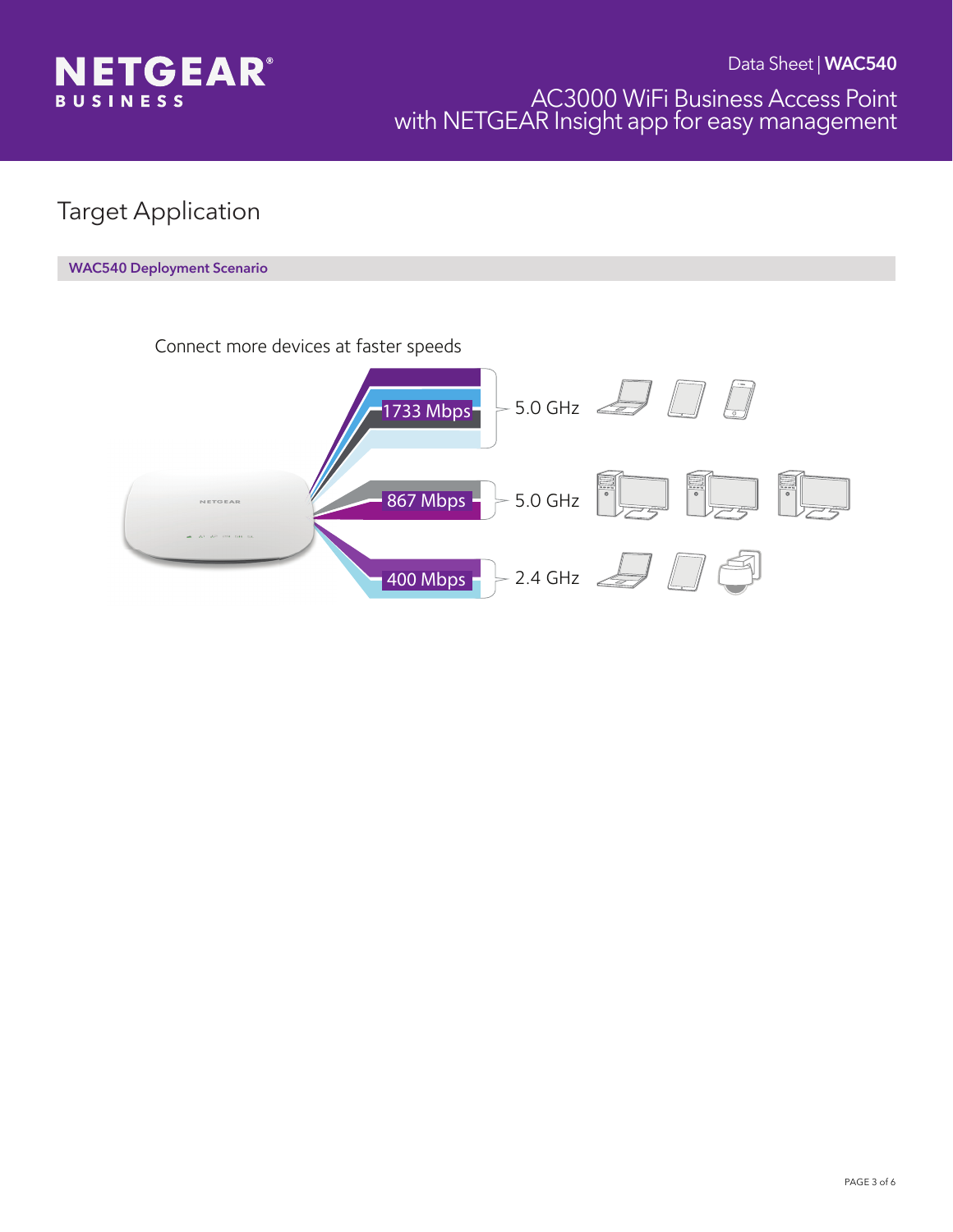

# Target Application

#### WAC540 Deployment Scenario

Connect more devices at faster speeds

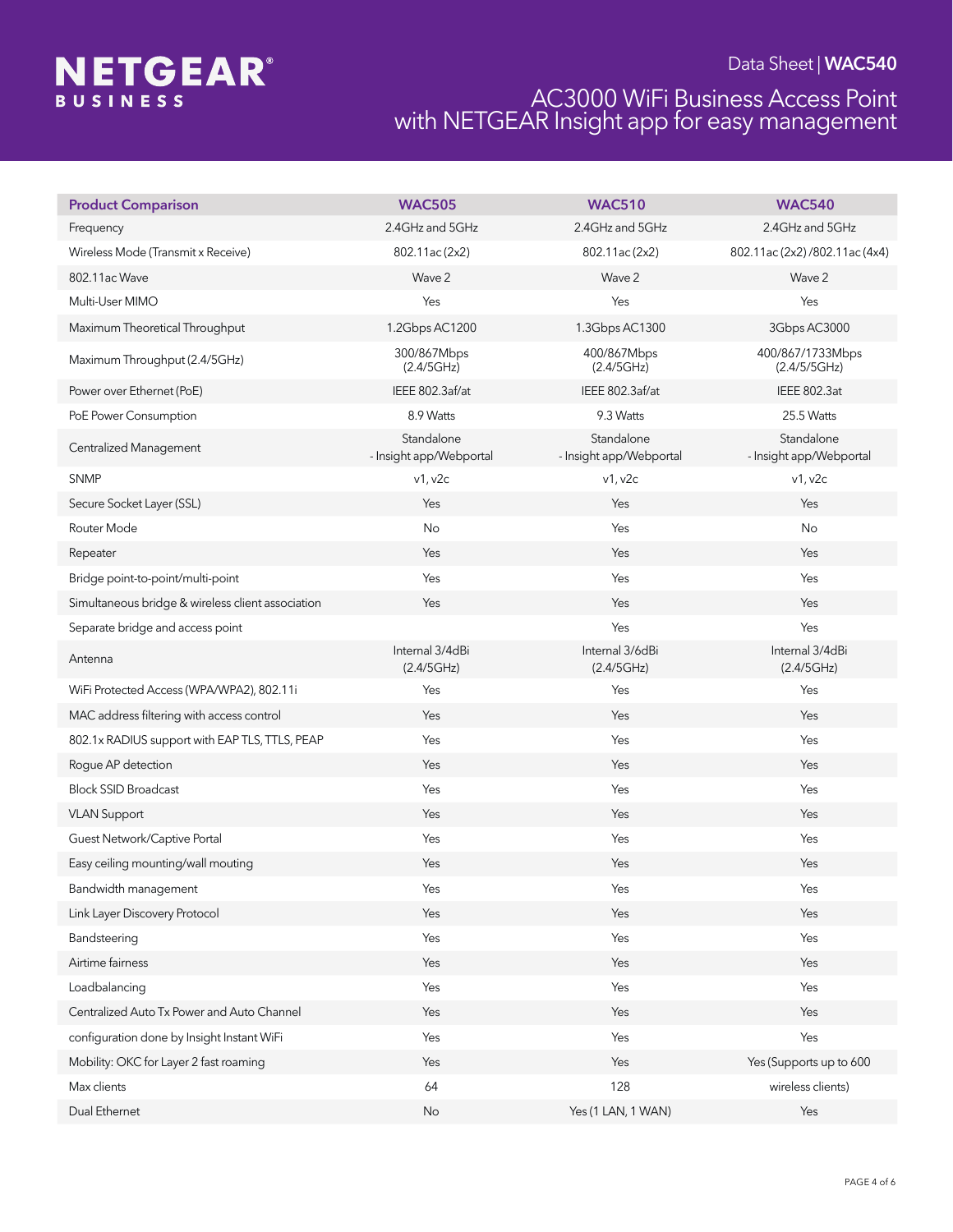# **NETGEAR®**

### Data Sheet | WAC540

### AC3000 WiFi Business Access Point with NETGEAR Insight app for easy management

| <b>Product Comparison</b>                         | <b>WAC505</b>                         | <b>WAC510</b>                         | <b>WAC540</b>                         |
|---------------------------------------------------|---------------------------------------|---------------------------------------|---------------------------------------|
| Frequency                                         | 2.4GHz and 5GHz                       | 2.4GHz and 5GHz                       | 2.4GHz and 5GHz                       |
| Wireless Mode (Transmit x Receive)                | 802.11ac(2x2)                         | 802.11ac (2x2)                        | 802.11ac (2x2) /802.11ac (4x4)        |
| 802.11ac Wave                                     | Wave 2                                | Wave 2                                | Wave 2                                |
| Multi-User MIMO                                   | Yes                                   | Yes                                   | Yes                                   |
| Maximum Theoretical Throughput                    | 1.2Gbps AC1200                        | 1.3Gbps AC1300                        | 3Gbps AC3000                          |
| Maximum Throughput (2.4/5GHz)                     | 300/867Mbps<br>(2.4/5GHz)             | 400/867Mbps<br>(2.4/5GHz)             | 400/867/1733Mbps<br>(2.4/5/5GHz)      |
| Power over Ethernet (PoE)                         | IEEE 802.3af/at                       | IEEE 802.3af/at                       | <b>IEEE 802.3at</b>                   |
| PoE Power Consumption                             | 8.9 Watts                             | 9.3 Watts                             | 25.5 Watts                            |
| <b>Centralized Management</b>                     | Standalone<br>- Insight app/Webportal | Standalone<br>- Insight app/Webportal | Standalone<br>- Insight app/Webportal |
| <b>SNMP</b>                                       | v1, v2c                               | v1, v2c                               | v1, v2c                               |
| Secure Socket Layer (SSL)                         | Yes                                   | Yes                                   | Yes                                   |
| Router Mode                                       | No                                    | Yes                                   | No                                    |
| Repeater                                          | Yes                                   | Yes                                   | Yes                                   |
| Bridge point-to-point/multi-point                 | Yes                                   | Yes                                   | Yes                                   |
| Simultaneous bridge & wireless client association | Yes                                   | Yes                                   | Yes                                   |
| Separate bridge and access point                  |                                       | Yes                                   | Yes                                   |
| Antenna                                           | Internal 3/4dBi<br>(2.4/5GHz)         | Internal 3/6dBi<br>(2.4/5GHz)         | Internal 3/4dBi<br>(2.4/5GHz)         |
| WiFi Protected Access (WPA/WPA2), 802.11i         | Yes                                   | Yes                                   | Yes                                   |
| MAC address filtering with access control         | Yes                                   | Yes                                   | Yes                                   |
| 802.1x RADIUS support with EAP TLS, TTLS, PEAP    | Yes                                   | Yes                                   | Yes                                   |
| Rogue AP detection                                | Yes                                   | Yes                                   | Yes                                   |
| <b>Block SSID Broadcast</b>                       | Yes                                   | Yes                                   | Yes                                   |
| <b>VLAN Support</b>                               | Yes                                   | Yes                                   | Yes                                   |
| Guest Network/Captive Portal                      | Yes                                   | Yes                                   | Yes                                   |
| Easy ceiling mounting/wall mouting                | Yes                                   | Yes                                   | Yes                                   |
| Bandwidth management                              | Yes                                   | Yes                                   | Yes                                   |
| Link Layer Discovery Protocol                     | Yes                                   | Yes                                   | Yes                                   |
| Bandsteering                                      | Yes                                   | Yes                                   | Yes                                   |
| Airtime fairness                                  | Yes                                   | Yes                                   | Yes                                   |
| Loadbalancing                                     | Yes                                   | Yes                                   | Yes                                   |
| Centralized Auto Tx Power and Auto Channel        | Yes                                   | Yes                                   | Yes                                   |
| configuration done by Insight Instant WiFi        | Yes                                   | Yes                                   | Yes                                   |
| Mobility: OKC for Layer 2 fast roaming            | Yes                                   | Yes                                   | Yes (Supports up to 600               |
| Max clients                                       | 64                                    | 128                                   | wireless clients)                     |
| Dual Ethernet                                     | No                                    | Yes (1 LAN, 1 WAN)                    | Yes                                   |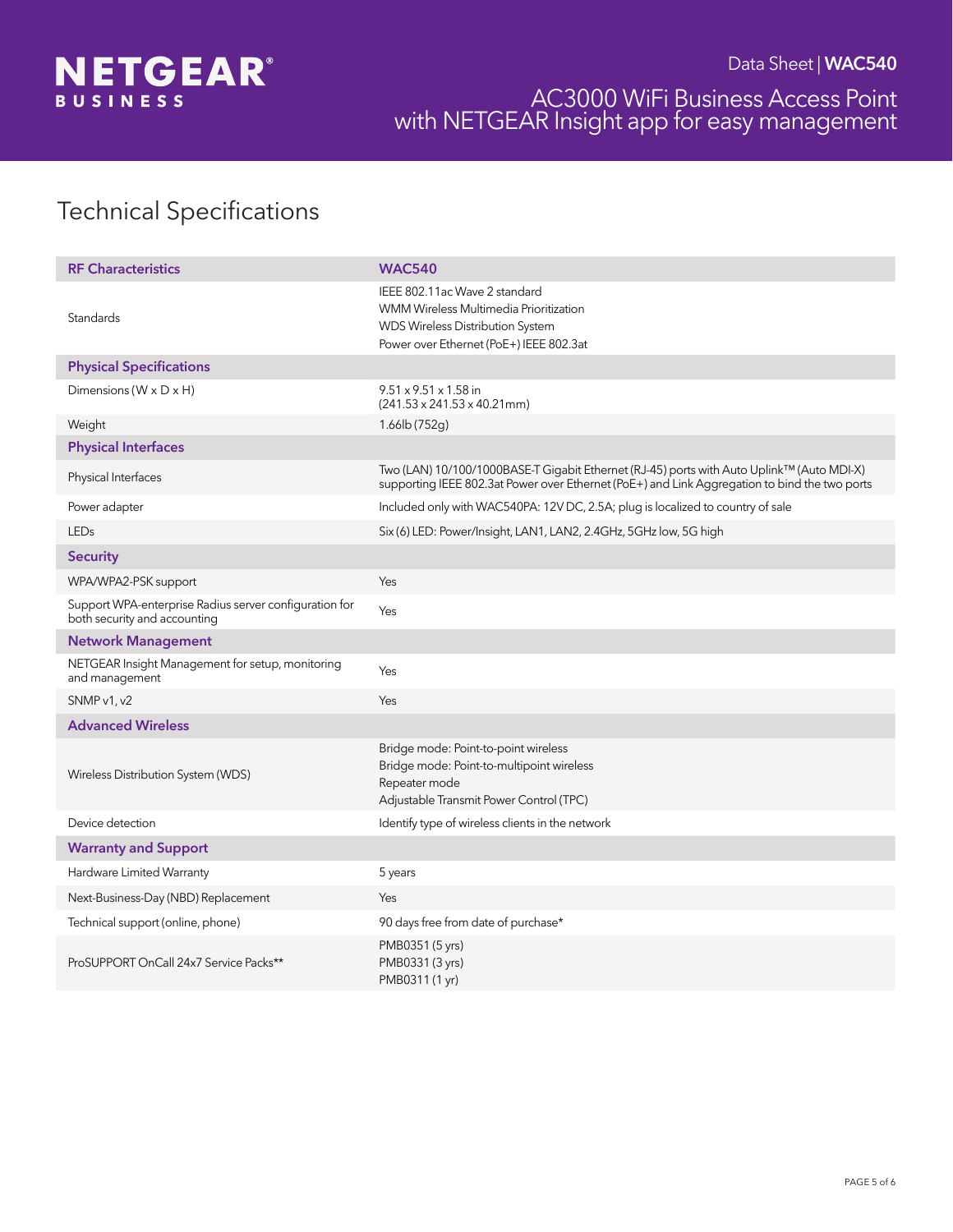

# Technical Specifications

| <b>RF Characteristics</b>                                                              | <b>WAC540</b>                                                                                                                                                                              |  |  |  |
|----------------------------------------------------------------------------------------|--------------------------------------------------------------------------------------------------------------------------------------------------------------------------------------------|--|--|--|
| Standards                                                                              | IEEE 802.11ac Wave 2 standard<br>WMM Wireless Multimedia Prioritization<br>WDS Wireless Distribution System<br>Power over Ethernet (PoE+) IEEE 802.3at                                     |  |  |  |
| <b>Physical Specifications</b>                                                         |                                                                                                                                                                                            |  |  |  |
| Dimensions ( $W \times D \times H$ )                                                   | $9.51 \times 9.51 \times 1.58$ in<br>$(241.53 \times 241.53 \times 40.21$ mm)                                                                                                              |  |  |  |
| Weight                                                                                 | 1.66lb (752g)                                                                                                                                                                              |  |  |  |
| <b>Physical Interfaces</b>                                                             |                                                                                                                                                                                            |  |  |  |
| Physical Interfaces                                                                    | Two (LAN) 10/100/1000BASE-T Gigabit Ethernet (RJ-45) ports with Auto Uplink™ (Auto MDI-X)<br>supporting IEEE 802.3at Power over Ethernet (PoE+) and Link Aggregation to bind the two ports |  |  |  |
| Power adapter                                                                          | Included only with WAC540PA: 12V DC, 2.5A; plug is localized to country of sale                                                                                                            |  |  |  |
| <b>LEDs</b>                                                                            | Six (6) LED: Power/Insight, LAN1, LAN2, 2.4GHz, 5GHz low, 5G high                                                                                                                          |  |  |  |
| <b>Security</b>                                                                        |                                                                                                                                                                                            |  |  |  |
| WPA/WPA2-PSK support                                                                   | Yes                                                                                                                                                                                        |  |  |  |
| Support WPA-enterprise Radius server configuration for<br>both security and accounting | Yes                                                                                                                                                                                        |  |  |  |
| <b>Network Management</b>                                                              |                                                                                                                                                                                            |  |  |  |
| NETGEAR Insight Management for setup, monitoring<br>and management                     | Yes                                                                                                                                                                                        |  |  |  |
| SNMP v1, v2                                                                            | Yes                                                                                                                                                                                        |  |  |  |
| <b>Advanced Wireless</b>                                                               |                                                                                                                                                                                            |  |  |  |
| Wireless Distribution System (WDS)                                                     | Bridge mode: Point-to-point wireless<br>Bridge mode: Point-to-multipoint wireless<br>Repeater mode<br>Adjustable Transmit Power Control (TPC)                                              |  |  |  |
| Device detection                                                                       | Identify type of wireless clients in the network                                                                                                                                           |  |  |  |
| <b>Warranty and Support</b>                                                            |                                                                                                                                                                                            |  |  |  |
| Hardware Limited Warranty                                                              | 5 years                                                                                                                                                                                    |  |  |  |
| Next-Business-Day (NBD) Replacement                                                    | Yes                                                                                                                                                                                        |  |  |  |
| Technical support (online, phone)                                                      | 90 days free from date of purchase*                                                                                                                                                        |  |  |  |
| ProSUPPORT OnCall 24x7 Service Packs**                                                 | PMB0351 (5 yrs)<br>PMB0331 (3 yrs)<br>PMB0311 (1 yr)                                                                                                                                       |  |  |  |